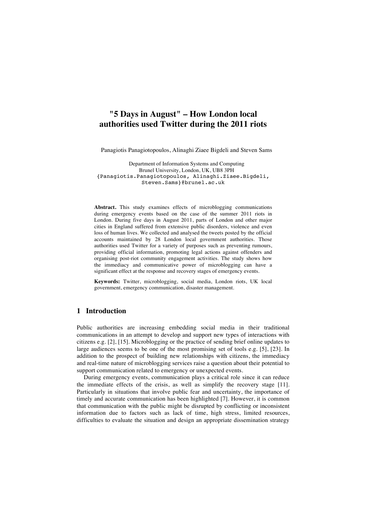# **"5 Days in August" – How London local authorities used Twitter during the 2011 riots**

Panagiotis Panagiotopoulos, Alinaghi Ziaee Bigdeli and Steven Sams

Department of Information Systems and Computing Brunel University, London, UK, UB8 3PH {Panagiotis.Panagiotopoulos, Alinaghi.Ziaee.Bigdeli, Steven.Sams}@brunel.ac.uk

**Abstract.** This study examines effects of microblogging communications during emergency events based on the case of the summer 2011 riots in London. During five days in August 2011, parts of London and other major cities in England suffered from extensive public disorders, violence and even loss of human lives. We collected and analysed the tweets posted by the official accounts maintained by 28 London local government authorities. Those authorities used Twitter for a variety of purposes such as preventing rumours, providing official information, promoting legal actions against offenders and organising post-riot community engagement activities. The study shows how the immediacy and communicative power of microblogging can have a significant effect at the response and recovery stages of emergency events.

**Keywords:** Twitter, microblogging, social media, London riots, UK local government, emergency communication, disaster management.

#### **1 Introduction**

Public authorities are increasing embedding social media in their traditional communications in an attempt to develop and support new types of interactions with citizens e.g. [2], [15]. Microblogging or the practice of sending brief online updates to large audiences seems to be one of the most promising set of tools e.g. [5], [23]. In addition to the prospect of building new relationships with citizens, the immediacy and real-time nature of microblogging services raise a question about their potential to support communication related to emergency or unexpected events.

During emergency events, communication plays a critical role since it can reduce the immediate effects of the crisis, as well as simplify the recovery stage [11]. Particularly in situations that involve public fear and uncertainty, the importance of timely and accurate communication has been highlighted [7]. However, it is common that communication with the public might be disrupted by conflicting or inconsistent information due to factors such as lack of time, high stress, limited resources, difficulties to evaluate the situation and design an appropriate dissemination strategy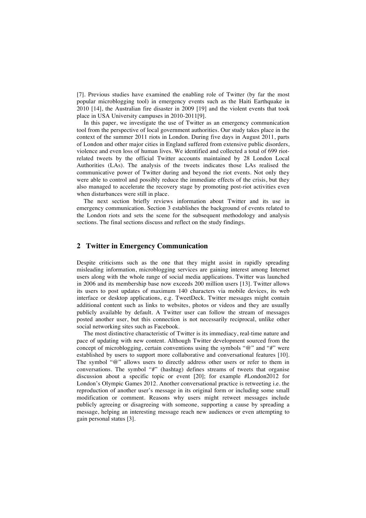[7]. Previous studies have examined the enabling role of Twitter (by far the most popular microblogging tool) in emergency events such as the Haiti Earthquake in 2010 [14], the Australian fire disaster in 2009 [19] and the violent events that took place in USA University campuses in 2010-2011[9].

In this paper, we investigate the use of Twitter as an emergency communication tool from the perspective of local government authorities. Our study takes place in the context of the summer 2011 riots in London. During five days in August 2011, parts of London and other major cities in England suffered from extensive public disorders, violence and even loss of human lives. We identified and collected a total of 699 riotrelated tweets by the official Twitter accounts maintained by 28 London Local Authorities (LAs). The analysis of the tweets indicates those LAs realised the communicative power of Twitter during and beyond the riot events. Not only they were able to control and possibly reduce the immediate effects of the crisis, but they also managed to accelerate the recovery stage by promoting post-riot activities even when disturbances were still in place.

The next section briefly reviews information about Twitter and its use in emergency communication. Section 3 establishes the background of events related to the London riots and sets the scene for the subsequent methodology and analysis sections. The final sections discuss and reflect on the study findings.

### **2 Twitter in Emergency Communication**

Despite criticisms such as the one that they might assist in rapidly spreading misleading information, microblogging services are gaining interest among Internet users along with the whole range of social media applications. Twitter was launched in 2006 and its membership base now exceeds 200 million users [13]. Twitter allows its users to post updates of maximum 140 characters via mobile devices, its web interface or desktop applications, e.g. TweetDeck. Twitter messages might contain additional content such as links to websites, photos or videos and they are usually publicly available by default. A Twitter user can follow the stream of messages posted another user, but this connection is not necessarily reciprocal, unlike other social networking sites such as Facebook.

The most distinctive characteristic of Twitter is its immediacy, real-time nature and pace of updating with new content. Although Twitter development sourced from the concept of microblogging, certain conventions using the symbols "@" and "#" were established by users to support more collaborative and conversational features [10]. The symbol "@" allows users to directly address other users or refer to them in conversations. The symbol "#" (hashtag) defines streams of tweets that organise discussion about a specific topic or event [20]; for example #London2012 for London's Olympic Games 2012. Another conversational practice is retweeting i.e. the reproduction of another user's message in its original form or including some small modification or comment. Reasons why users might retweet messages include publicly agreeing or disagreeing with someone, supporting a cause by spreading a message, helping an interesting message reach new audiences or even attempting to gain personal status [3].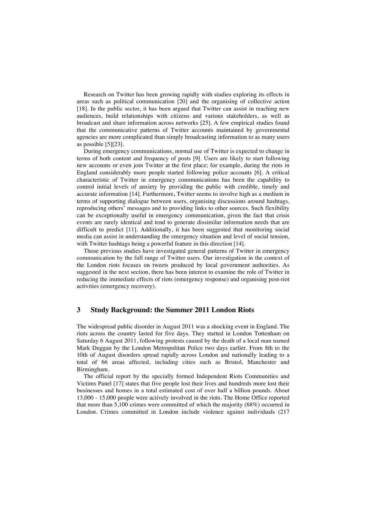Research on Twitter has been growing rapidly with studies exploring its effects in areas such as political communication [20] and the organising of collective action [18]. In the public sector, it has been argued that Twitter can assist in reaching new audiences, build relationships with citizens and various stakeholders, as well as broadcast and share information across networks [25]. A few empirical studies found that the communicative patterns of Twitter accounts maintained by governmental agencies are more complicated than simply broadcasting information to as many users as possible [5][23].

During emergency communications, normal use of Twitter is expected to change in terms of both content and frequency of posts [9]. Users are likely to start following new accounts or even join Twitter at the first place; for example, during the riots in England considerably more people started following police accounts [6]. A critical characteristic of Twitter in emergency communications has been the capability to control initial levels of anxiety by providing the public with credible, timely and accurate information [14]. Furthermore, Twitter seems to involve high as a medium in terms of supporting dialogue between users, organising discussions around hashtags, reproducing others' messages and to providing links to other sources. Such flexibility can be exceptionally useful in emergency communication, given the fact that crisis events are rarely identical and tend to generate dissimilar information needs that are difficult to predict [11]. Additionally, it has been suggested that monitoring social media can assist in understanding the emergency situation and level of social tension, with Twitter hashtags being a powerful feature in this direction [14].

Those previous studies have investigated general patterns of Twitter in emergency communication by the full range of Twitter users. Our investigation in the context of the London riots focuses on tweets produced by local government authorities. As suggested in the next section, there has been interest to examine the role of Twitter in reducing the immediate effects of riots (emergency response) and organising post-riot activities (emergency recovery).

#### **3 Study Background: the Summer 2011 London Riots**

The widespread public disorder in August 2011 was a shocking event in England. The riots across the country lasted for five days. They started in London Tottenham on Saturday 6 August 2011, following protests caused by the death of a local man named Mark Duggan by the London Metropolitan Police two days earlier. From 8th to the 10th of August disorders spread rapidly across London and nationally leading to a total of 66 areas affected, including cities such as Bristol, Manchester and Birmingham.

The official report by the specially formed Independent Riots Communities and Victims Panel [17] states that five people lost their lives and hundreds more lost their businesses and homes in a total estimated cost of over half a billion pounds. About 13,000 - 15,000 people were actively involved in the riots. The Home Office reported that more than 5,100 crimes were committed of which the majority (68%) occurred in London. Crimes committed in London include violence against individuals (217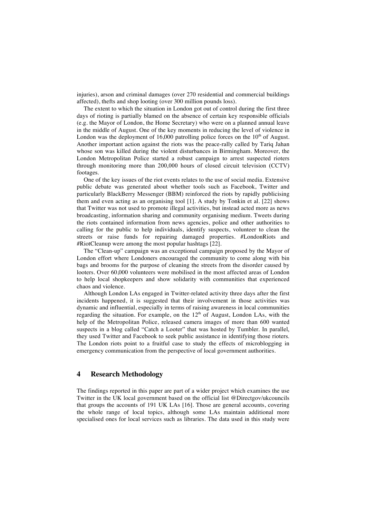injuries), arson and criminal damages (over 270 residential and commercial buildings affected), thefts and shop looting (over 300 million pounds loss).

The extent to which the situation in London got out of control during the first three days of rioting is partially blamed on the absence of certain key responsible officials (e.g. the Mayor of London, the Home Secretary) who were on a planned annual leave in the middle of August. One of the key moments in reducing the level of violence in London was the deployment of 16,000 patrolling police forces on the  $10<sup>th</sup>$  of August. Another important action against the riots was the peace-rally called by Tariq Jahan whose son was killed during the violent disturbances in Birmingham. Moreover, the London Metropolitan Police started a robust campaign to arrest suspected rioters through monitoring more than 200,000 hours of closed circuit television (CCTV) footages.

One of the key issues of the riot events relates to the use of social media. Extensive public debate was generated about whether tools such as Facebook, Twitter and particularly BlackBerry Messenger (BBM) reinforced the riots by rapidly publicising them and even acting as an organising tool [1]. A study by Tonkin et al. [22] shows that Twitter was not used to promote illegal activities, but instead acted more as news broadcasting, information sharing and community organising medium. Tweets during the riots contained information from news agencies, police and other authorities to calling for the public to help individuals, identify suspects, volunteer to clean the streets or raise funds for repairing damaged properties. #LondonRiots and #RiotCleanup were among the most popular hashtags [22].

The "Clean-up" campaign was an exceptional campaign proposed by the Mayor of London effort where Londoners encouraged the community to come along with bin bags and brooms for the purpose of cleaning the streets from the disorder caused by looters. Over 60,000 volunteers were mobilised in the most affected areas of London to help local shopkeepers and show solidarity with communities that experienced chaos and violence.

Although London LAs engaged in Twitter-related activity three days after the first incidents happened, it is suggested that their involvement in those activities was dynamic and influential, especially in terms of raising awareness in local communities regarding the situation. For example, on the  $12<sup>th</sup>$  of August, London LAs, with the help of the Metropolitan Police, released camera images of more than 600 wanted suspects in a blog called "Catch a Looter" that was hosted by Tumbler. In parallel, they used Twitter and Facebook to seek public assistance in identifying those rioters. The London riots point to a fruitful case to study the effects of microblogging in emergency communication from the perspective of local government authorities.

#### **4 Research Methodology**

The findings reported in this paper are part of a wider project which examines the use Twitter in the UK local government based on the official list @Directgov/ukcouncils that groups the accounts of 191 UK LAs [16]. Those are general accounts, covering the whole range of local topics, although some LAs maintain additional more specialised ones for local services such as libraries. The data used in this study were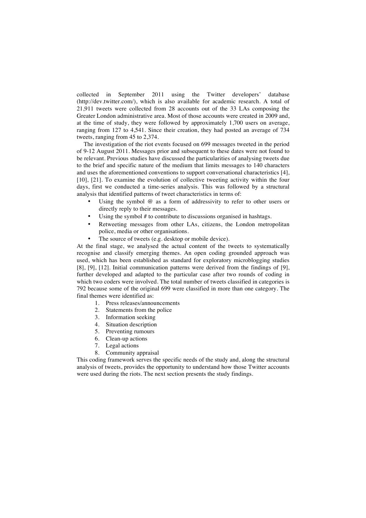collected in September 2011 using the Twitter developers' database (http://dev.twitter.com/), which is also available for academic research. A total of 21,911 tweets were collected from 28 accounts out of the 33 LAs composing the Greater London administrative area. Most of those accounts were created in 2009 and, at the time of study, they were followed by approximately 1,700 users on average, ranging from 127 to 4,541. Since their creation, they had posted an average of 734 tweets, ranging from 45 to 2,374.

The investigation of the riot events focused on 699 messages tweeted in the period of 9-12 August 2011. Messages prior and subsequent to these dates were not found to be relevant. Previous studies have discussed the particularities of analysing tweets due to the brief and specific nature of the medium that limits messages to 140 characters and uses the aforementioned conventions to support conversational characteristics [4], [10], [21]. To examine the evolution of collective tweeting activity within the four days, first we conducted a time-series analysis. This was followed by a structural analysis that identified patterns of tweet characteristics in terms of:

- Using the symbol  $@$  as a form of addressivity to refer to other users or directly reply to their messages.
- Using the symbol # to contribute to discussions organised in hashtags.
- Retweeting messages from other LAs, citizens, the London metropolitan police, media or other organisations.
- The source of tweets (e.g. desktop or mobile device).

At the final stage, we analysed the actual content of the tweets to systematically recognise and classify emerging themes. An open coding grounded approach was used, which has been established as standard for exploratory microblogging studies [8], [9], [12]. Initial communication patterns were derived from the findings of [9], further developed and adapted to the particular case after two rounds of coding in which two coders were involved. The total number of tweets classified in categories is 792 because some of the original 699 were classified in more than one category. The final themes were identified as:

- 1. Press releases/announcements
- 2. Statements from the police
- 3. Information seeking
- 4. Situation description
- 5. Preventing rumours
- 6. Clean-up actions
- 7. Legal actions
- 8. Community appraisal

This coding framework serves the specific needs of the study and, along the structural analysis of tweets, provides the opportunity to understand how those Twitter accounts were used during the riots. The next section presents the study findings.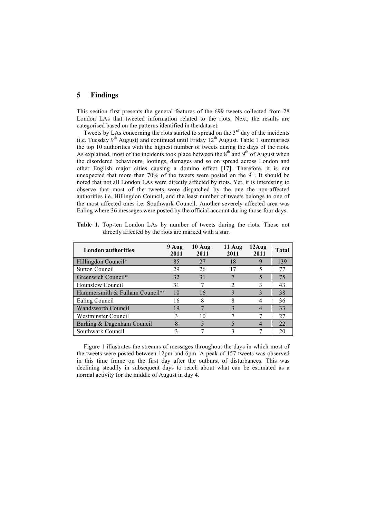#### **5 Findings**

This section first presents the general features of the 699 tweets collected from 28 London LAs that tweeted information related to the riots. Next, the results are categorised based on the patterns identified in the dataset.

Tweets by LAs concerning the riots started to spread on the  $3<sup>rd</sup>$  day of the incidents (i.e. Tuesday 9<sup>th</sup> August) and continued until Friday 12<sup>th</sup> August. Table 1 summarises the top 10 authorities with the highest number of tweets during the days of the riots. As explained, most of the incidents took place between the  $8<sup>th</sup>$  and  $9<sup>th</sup>$  of August when the disordered behaviours, lootings, damages and so on spread across London and other English major cities causing a domino effect [17]. Therefore, it is not unexpected that more than 70% of the tweets were posted on the  $9<sup>th</sup>$ . It should be noted that not all London LAs were directly affected by riots. Yet, it is interesting to observe that most of the tweets were dispatched by the one the non-affected authorities i.e. Hillingdon Council, and the least number of tweets belongs to one of the most affected ones i.e. Southwark Council. Another severely affected area was Ealing where 36 messages were posted by the official account during those four days.

| <b>London authorities</b>      | 9 Aug<br>2011 | 10 Aug<br>2011 | 11 Aug<br>2011 | 12Aug<br>2011 | <b>Total</b> |
|--------------------------------|---------------|----------------|----------------|---------------|--------------|
| Hillingdon Council*            | 85            | 27             | 18             | 9             | 139          |
| <b>Sutton Council</b>          | 29            | 26             | 17             | 5             | 77           |
| Greenwich Council*             | 32            | 31             |                | 5             | 75           |
| <b>Hounslow Council</b>        | 31            |                | າ              | 3             | 43           |
| Hammersmith & Fulham Council*' | 10            | 16             | q              | 3             | 38           |
| Ealing Council                 | 16            | 8              | 8              |               | 36           |
| <b>Wandsworth Council</b>      | 19            |                | 3              |               | 33           |
| Westminster Council            |               | 10             |                |               | 27           |
| Barking & Dagenham Council     | $\Omega$      |                |                |               | 22           |
| Southwark Council              |               |                |                |               | 20           |

**Table 1.** Top-ten London LAs by number of tweets during the riots. Those not directly affected by the riots are marked with a star.

Figure 1 illustrates the streams of messages throughout the days in which most of the tweets were posted between 12pm and 6pm. A peak of 157 tweets was observed in this time frame on the first day after the outburst of disturbances. This was declining steadily in subsequent days to reach about what can be estimated as a normal activity for the middle of August in day 4.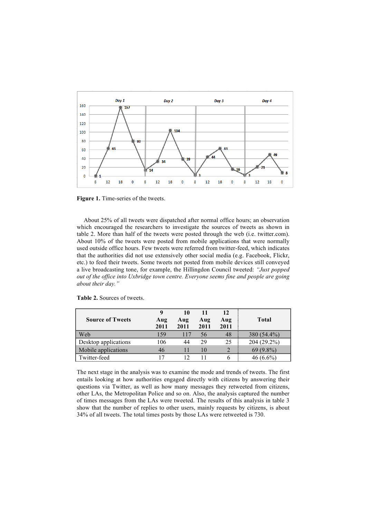

**Figure 1.** Time-series of the tweets.

About 25% of all tweets were dispatched after normal office hours; an observation which encouraged the researchers to investigate the sources of tweets as shown in table 2. More than half of the tweets were posted through the web (i.e. twitter.com). About 10% of the tweets were posted from mobile applications that were normally used outside office hours. Few tweets were referred from twitter-feed, which indicates that the authorities did not use extensively other social media (e.g. Facebook, Flickr, etc.) to feed their tweets. Some tweets not posted from mobile devices still conveyed a live broadcasting tone, for example, the Hillingdon Council tweeted: *"Just popped out of the office into Uxbridge town centre. Everyone seems fine and people are going about their day."*

| <b>Source of Tweets</b> | Aug<br>2011 | 10<br>Aug<br>2011 | Aug<br>2011 | 12<br>Aug<br>2011 | <b>Total</b> |
|-------------------------|-------------|-------------------|-------------|-------------------|--------------|
| Web                     | 159         | 117               | 56          | 48                | 380 (54.4%)  |
| Desktop applications    | 106         | 44                | 29          | 25                | 204 (29.2%)  |
| Mobile applications     | 46          | 11                | 10          |                   | $69(9.8\%)$  |
| Twitter-feed            |             |                   |             |                   | $46(6.6\%)$  |

**Table 2.** Sources of tweets.

The next stage in the analysis was to examine the mode and trends of tweets. The first entails looking at how authorities engaged directly with citizens by answering their questions via Twitter, as well as how many messages they retweeted from citizens, other LAs, the Metropolitan Police and so on. Also, the analysis captured the number of times messages from the LAs were tweeted. The results of this analysis in table 3 show that the number of replies to other users, mainly requests by citizens, is about 34% of all tweets. The total times posts by those LAs were retweeted is 730.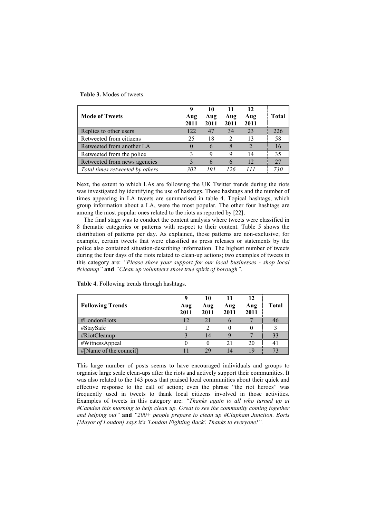|                                 | 9    | 10   | 11   | 12   |              |
|---------------------------------|------|------|------|------|--------------|
| <b>Mode of Tweets</b>           | Aug  | Aug  | Aug  | Aug  | <b>Total</b> |
|                                 | 2011 | 2011 | 2011 | 2011 |              |
| Replies to other users          | 122  | 47   | 34   | 23   | 226          |
| Retweeted from citizens         | 25   | 18   | 2    | 13   | 58           |
| Retweeted from another LA       |      |      | 8    |      |              |
| Retweeted from the police       |      | 9    | 9    | 14   | 35           |
| Retweeted from news agencies    |      |      | 6    | 12   | 27           |
| Total times retweeted by others | 302  | 191  | 126  |      | 730          |

Next, the extent to which LAs are following the UK Twitter trends during the riots was investigated by identifying the use of hashtags. Those hashtags and the number of times appearing in LA tweets are summarised in table 4. Topical hashtags, which group information about a LA, were the most popular. The other four hashtags are among the most popular ones related to the riots as reported by [22].

The final stage was to conduct the content analysis where tweets were classified in 8 thematic categories or patterns with respect to their content. Table 5 shows the distribution of patterns per day. As explained, those patterns are non-exclusive; for example, certain tweets that were classified as press releases or statements by the police also contained situation-describing information. The highest number of tweets during the four days of the riots related to clean-up actions; two examples of tweets in this category are: *"Please show your support for our local businesses - shop local #cleanup"* **and** *"Clean up volunteers show true spirit of borough".*

| <b>Following Trends</b> | Aug<br>2011 | 10<br>Aug<br>2011 | 11<br>Aug<br>2011 | 12<br>Aug<br>2011 | <b>Total</b> |
|-------------------------|-------------|-------------------|-------------------|-------------------|--------------|
| #LondonRiots            | 12          | 21                |                   |                   | 46           |
| #StaySafe               |             |                   |                   |                   |              |
| #RiotCleanup            |             | 14                |                   |                   | 33           |
| #WitnessAppeal          |             |                   | 21                | 20                | 41           |
| #[Name of the council]  |             | 29                | 14                | 19                | 73           |

**Table 4.** Following trends through hashtags.

This large number of posts seems to have encouraged individuals and groups to organise large scale clean-ups after the riots and actively support their communities. It was also related to the 143 posts that praised local communities about their quick and effective response to the call of action; even the phrase "the riot heroes" was frequently used in tweets to thank local citizens involved in those activities. Examples of tweets in this category are: *"Thanks again to all who turned up at #Camden this morning to help clean up. Great to see the community coming together and helping out"* **and** *"200+ people prepare to clean up #Clapham Junction. Boris [Mayor of London] says it's 'London Fighting Back'. Thanks to everyone!".*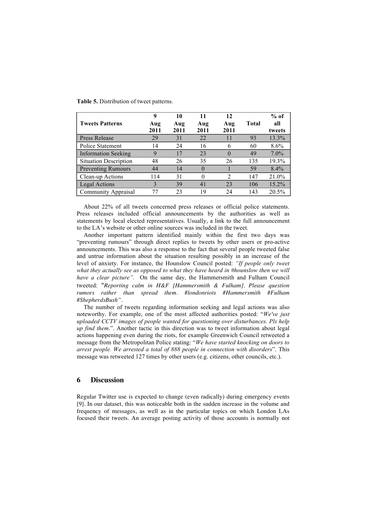| <b>Tweets Patterns</b>       | 9<br>Aug<br>2011 | 10<br>Aug<br>2011 | 11<br>Aug<br>2011 | 12<br>Aug<br>2011 | <b>Total</b> | $%$ of<br>all<br>tweets |
|------------------------------|------------------|-------------------|-------------------|-------------------|--------------|-------------------------|
| <b>Press Release</b>         | 29               | 31                | 22                | 11                | 93           | 13.3%                   |
| Police Statement             | 14               | 24                | 16                | 6                 | 60           | 8.6%                    |
| <b>Information Seeking</b>   | 9                | 17                | 23                |                   | 49           | $7.0\%$                 |
| <b>Situation Description</b> | 48               | 26                | 35                | 26                | 135          | 19.3%                   |
| <b>Preventing Rumours</b>    | 44               | 14                | $\theta$          |                   | 59           | 8.4%                    |
| Clean-up Actions             | 114              | 31                | 0                 | $\overline{2}$    | 147          | 21.0%                   |
| Legal Actions                | 3                | 39                | 41                | 23                | 106          | 15.2%                   |
| <b>Community Appraisal</b>   | 77               | 23                | 19                | 24                | 143          | 20.5%                   |

**Table 5.** Distribution of tweet patterns.

About 22% of all tweets concerned press releases or official police statements. Press releases included official announcements by the authorities as well as statements by local elected representatives. Usually, a link to the full announcement to the LA's website or other online sources was included in the tweet.

Another important pattern identified mainly within the first two days was "preventing rumours" through direct replies to tweets by other users or pro-active announcements. This was also a response to the fact that several people tweeted false and untrue information about the situation resulting possibly in an increase of the level of anxiety. For instance, the Hounslow Council posted: *"If people only tweet what they actually see as opposed to what they have heard in #hounslow then we will have a clear picture".* On the same day, the Hammersmith and Fulham Council tweeted: "*Reporting calm in H&F [Hammersmith & Fulham]. Please question rumors rather than spread them. #londonriots #Hammersmith #Fulham #ShepherdsBush".* 

The number of tweets regarding information seeking and legal actions was also noteworthy. For example, one of the most affected authorities posted: "*We've just uploaded CCTV images of people wanted for questioning over disturbances. Pls help up find them*.". Another tactic in this direction was to tweet information about legal actions happening even during the riots, for example Greenwich Council retweeted a message from the Metropolitan Police stating: "*We have started knocking on doors to arrest people. We arrested a total of 888 people in connection with disorders*". This message was retweeted 127 times by other users (e.g. citizens, other councils, etc.).

#### **6 Discussion**

Regular Twitter use is expected to change (even radically) during emergency events [9]. In our dataset, this was noticeable both in the sudden increase in the volume and frequency of messages, as well as in the particular topics on which London LAs focused their tweets. An average posting activity of those accounts is normally not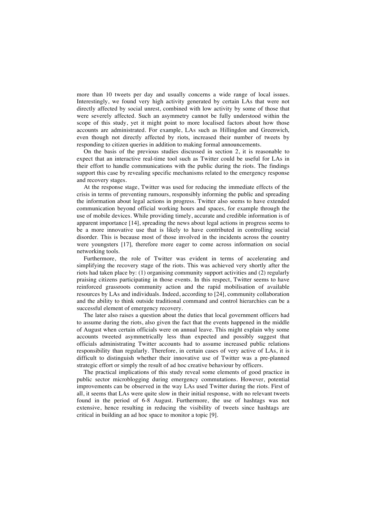more than 10 tweets per day and usually concerns a wide range of local issues. Interestingly, we found very high activity generated by certain LAs that were not directly affected by social unrest, combined with low activity by some of those that were severely affected. Such an asymmetry cannot be fully understood within the scope of this study, yet it might point to more localised factors about how those accounts are administrated. For example, LAs such as Hillingdon and Greenwich, even though not directly affected by riots, increased their number of tweets by responding to citizen queries in addition to making formal announcements.

On the basis of the previous studies discussed in section 2, it is reasonable to expect that an interactive real-time tool such as Twitter could be useful for LAs in their effort to handle communications with the public during the riots. The findings support this case by revealing specific mechanisms related to the emergency response and recovery stages.

At the response stage, Twitter was used for reducing the immediate effects of the crisis in terms of preventing rumours, responsibly informing the public and spreading the information about legal actions in progress. Twitter also seems to have extended communication beyond official working hours and spaces, for example through the use of mobile devices. While providing timely, accurate and credible information is of apparent importance [14], spreading the news about legal actions in progress seems to be a more innovative use that is likely to have contributed in controlling social disorder. This is because most of those involved in the incidents across the country were youngsters [17], therefore more eager to come across information on social networking tools.

Furthermore, the role of Twitter was evident in terms of accelerating and simplifying the recovery stage of the riots. This was achieved very shortly after the riots had taken place by: (1) organising community support activities and (2) regularly praising citizens participating in those events. In this respect, Twitter seems to have reinforced grassroots community action and the rapid mobilisation of available resources by LAs and individuals. Indeed, according to [24], community collaboration and the ability to think outside traditional command and control hierarchies can be a successful element of emergency recovery.

The later also raises a question about the duties that local government officers had to assume during the riots, also given the fact that the events happened in the middle of August when certain officials were on annual leave. This might explain why some accounts tweeted asymmetrically less than expected and possibly suggest that officials administrating Twitter accounts had to assume increased public relations responsibility than regularly. Therefore, in certain cases of very active of LAs, it is difficult to distinguish whether their innovative use of Twitter was a pre-planned strategic effort or simply the result of ad hoc creative behaviour by officers.

The practical implications of this study reveal some elements of good practice in public sector microblogging during emergency commutations. However, potential improvements can be observed in the way LAs used Twitter during the riots. First of all, it seems that LAs were quite slow in their initial response, with no relevant tweets found in the period of 6-8 August. Furthermore, the use of hashtags was not extensive, hence resulting in reducing the visibility of tweets since hashtags are critical in building an ad hoc space to monitor a topic [9].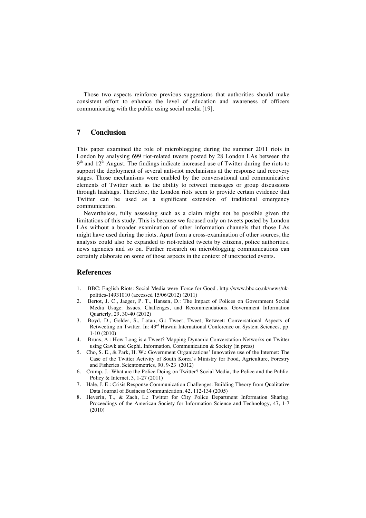Those two aspects reinforce previous suggestions that authorities should make consistent effort to enhance the level of education and awareness of officers communicating with the public using social media [19].

## **7 Conclusion**

This paper examined the role of microblogging during the summer 2011 riots in London by analysing 699 riot-related tweets posted by 28 London LAs between the  $9<sup>th</sup>$  and  $12<sup>th</sup>$  August. The findings indicate increased use of Twitter during the riots to support the deployment of several anti-riot mechanisms at the response and recovery stages. Those mechanisms were enabled by the conversational and communicative elements of Twitter such as the ability to retweet messages or group discussions through hashtags. Therefore, the London riots seem to provide certain evidence that Twitter can be used as a significant extension of traditional emergency communication.

Nevertheless, fully assessing such as a claim might not be possible given the limitations of this study. This is because we focused only on tweets posted by London LAs without a broader examination of other information channels that those LAs might have used during the riots. Apart from a cross-examination of other sources, the analysis could also be expanded to riot-related tweets by citizens, police authorities, news agencies and so on. Further research on microblogging communications can certainly elaborate on some of those aspects in the context of unexpected events.

#### **References**

- 1. BBC: English Riots: Social Media were 'Force for Good'. http://www.bbc.co.uk/news/ukpolitics-14931010 (accessed 15/06/2012) (2011)
- 2. Bertot, J. C., Jaeger, P. T., Hansen, D.: The Impact of Polices on Government Social Media Usage: Issues, Challenges, and Recommendations. Government Information Quarterly, 29, 30-40 (2012)
- 3. Boyd, D., Golder, S., Lotan, G.: Tweet, Tweet, Retweet: Conversational Aspects of Retweeting on Twitter. In: 43<sup>rd</sup> Hawaii International Conference on System Sciences, pp. 1-10 (2010)
- 4. Bruns, A.: How Long is a Tweet? Mapping Dynamic Converstation Networks on Twitter using Gawk and Gephi. Information, Communication & Society (in press)
- 5. Cho, S. E., & Park, H. W.: Government Organizations' Innovative use of the Internet: The Case of the Twitter Activity of South Korea's Ministry for Food, Agriculture, Forestry and Fisheries. Scientometrics, 90, 9-23 (2012)
- 6. Crump, J.: What are the Police Doing on Twitter? Social Media, the Police and the Public. Policy & Internet, 3, 1-27 (2011)
- 7. Hale, J. E.: Crisis Response Communication Challenges: Building Theory from Qualitative Data Journal of Business Communication, 42, 112-134 (2005)
- 8. Heverin, T., & Zach, L.: Twitter for City Police Department Information Sharing. Proceedings of the American Society for Information Science and Technology, 47, 1-7 (2010)